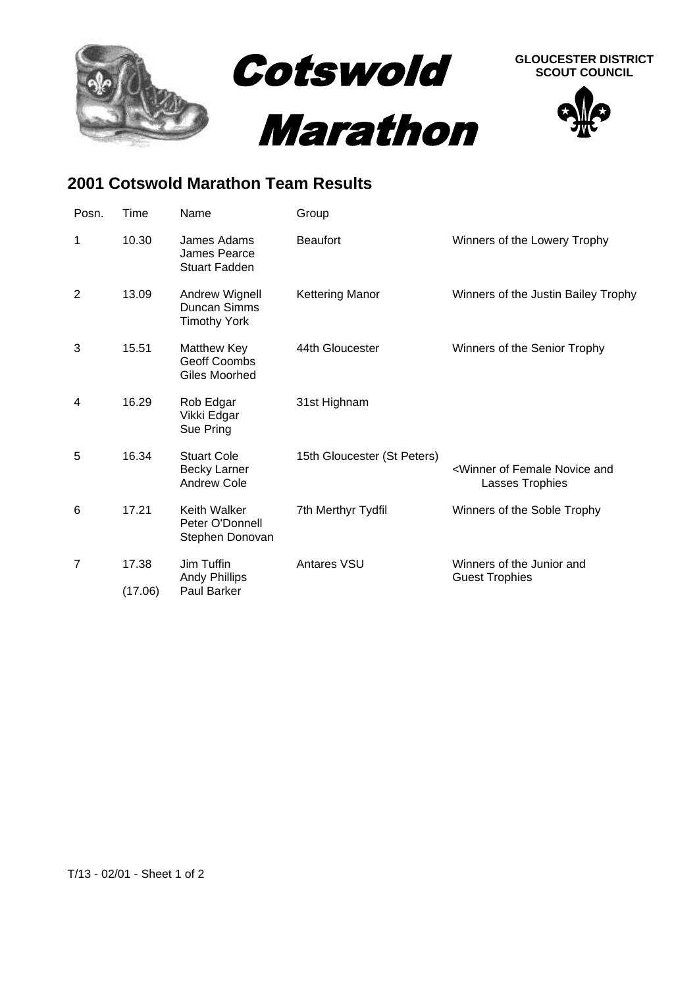

## **2001 Cotswold Marathon Team Results**

| Posn.          | Time             | Name                                                     | Group                       |                                                                      |
|----------------|------------------|----------------------------------------------------------|-----------------------------|----------------------------------------------------------------------|
| 1              | 10.30            | James Adams<br>James Pearce<br><b>Stuart Fadden</b>      | <b>Beaufort</b>             | Winners of the Lowery Trophy                                         |
| $\overline{2}$ | 13.09            | Andrew Wignell<br>Duncan Simms<br><b>Timothy York</b>    | <b>Kettering Manor</b>      | Winners of the Justin Bailey Trophy                                  |
| 3              | 15.51            | <b>Matthew Key</b><br>Geoff Coombs<br>Giles Moorhed      | 44th Gloucester             | Winners of the Senior Trophy                                         |
| 4              | 16.29            | Rob Edgar<br>Vikki Edgar<br>Sue Pring                    | 31st Highnam                |                                                                      |
| 5              | 16.34            | <b>Stuart Cole</b><br><b>Becky Larner</b><br>Andrew Cole | 15th Gloucester (St Peters) | <winner and<br="" female="" novice="" of="">Lasses Trophies</winner> |
| 6              | 17.21            | Keith Walker<br>Peter O'Donnell<br>Stephen Donovan       | 7th Merthyr Tydfil          | Winners of the Soble Trophy                                          |
| $\overline{7}$ | 17.38<br>(17.06) | Jim Tuffin<br><b>Andy Phillips</b><br><b>Paul Barker</b> | <b>Antares VSU</b>          | Winners of the Junior and<br><b>Guest Trophies</b>                   |